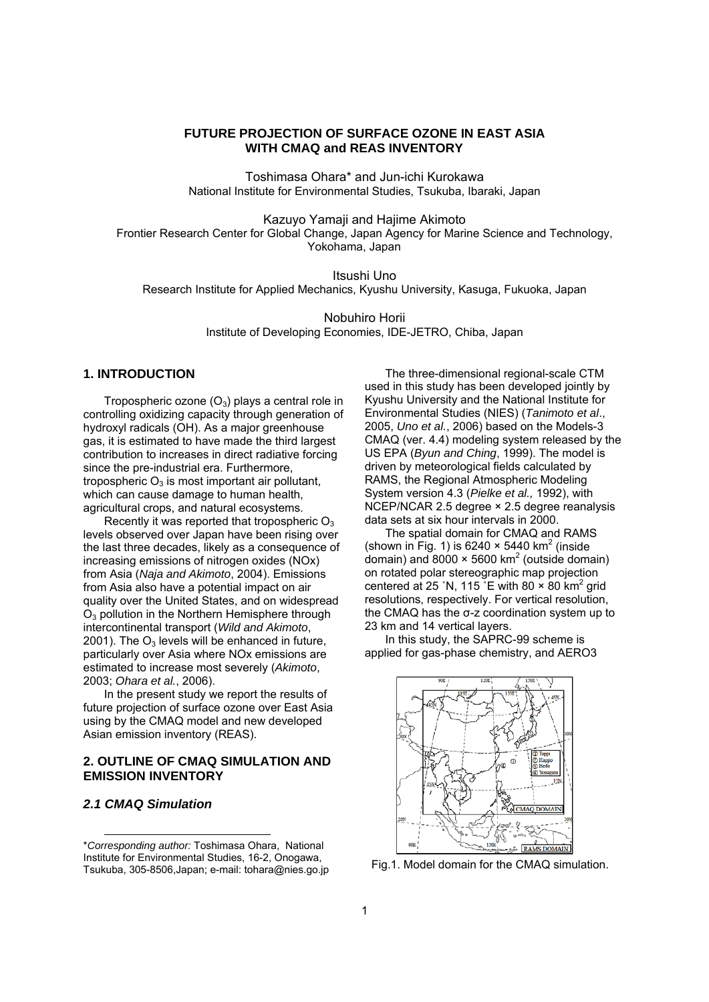# **FUTURE PROJECTION OF SURFACE OZONE IN EAST ASIA WITH CMAQ and REAS INVENTORY**

Toshimasa Ohara\* and Jun-ichi Kurokawa National Institute for Environmental Studies, Tsukuba, Ibaraki, Japan

Kazuyo Yamaji and Hajime Akimoto Frontier Research Center for Global Change, Japan Agency for Marine Science and Technology, Yokohama, Japan

Itsushi Uno Research Institute for Applied Mechanics, Kyushu University, Kasuga, Fukuoka, Japan

> Nobuhiro Horii Institute of Developing Economies, IDE-JETRO, Chiba, Japan

### **1. INTRODUCTION**

Tropospheric ozone  $(O_3)$  plays a central role in controlling oxidizing capacity through generation of hydroxyl radicals (OH). As a major greenhouse gas, it is estimated to have made the third largest contribution to increases in direct radiative forcing since the pre-industrial era. Furthermore, tropospheric  $O_3$  is most important air pollutant, which can cause damage to human health, agricultural crops, and natural ecosystems.

Recently it was reported that tropospheric  $O_3$ levels observed over Japan have been rising over the last three decades, likely as a consequence of increasing emissions of nitrogen oxides (NOx) from Asia (*Naja and Akimoto*, 2004). Emissions from Asia also have a potential impact on air quality over the United States, and on widespread O3 pollution in the Northern Hemisphere through intercontinental transport (*Wild and Akimoto*, 2001). The  $O_3$  levels will be enhanced in future, particularly over Asia where NOx emissions are estimated to increase most severely (*Akimoto*, 2003; *Ohara et al.*, 2006).

In the present study we report the results of future projection of surface ozone over East Asia using by the CMAQ model and new developed Asian emission inventory (REAS).

## **2. OUTLINE OF CMAQ SIMULATION AND EMISSION INVENTORY**

### *2.1 CMAQ Simulation*

l

The three-dimensional regional-scale CTM used in this study has been developed jointly by Kyushu University and the National Institute for Environmental Studies (NIES) (*Tanimoto et al*., 2005, *Uno et al.*, 2006) based on the Models-3 CMAQ (ver. 4.4) modeling system released by the US EPA (*Byun and Ching*, 1999). The model is driven by meteorological fields calculated by RAMS, the Regional Atmospheric Modeling System version 4.3 (*Pielke et al.,* 1992), with NCEP/NCAR 2.5 degree × 2.5 degree reanalysis data sets at six hour intervals in 2000.

The spatial domain for CMAQ and RAMS (shown in Fig. 1) is 6240  $\times$  5440 km<sup>2</sup> (inside domain) and  $8000 \times 5600$  km<sup>2</sup> (outside domain) on rotated polar stereographic map projection centered at 25 °N, 115  $\degree$ E with 80  $\times$  80 km<sup>2</sup> grid resolutions, respectively. For vertical resolution, the CMAQ has the σ-z coordination system up to 23 km and 14 vertical layers.

In this study, the SAPRC-99 scheme is applied for gas-phase chemistry, and AERO3



Fig.1. Model domain for the CMAQ simulation.

<sup>\*</sup>*Corresponding author:* Toshimasa Ohara, National Institute for Environmental Studies, 16-2, Onogawa, Tsukuba, 305-8506,Japan; e-mail: tohara@nies.go.jp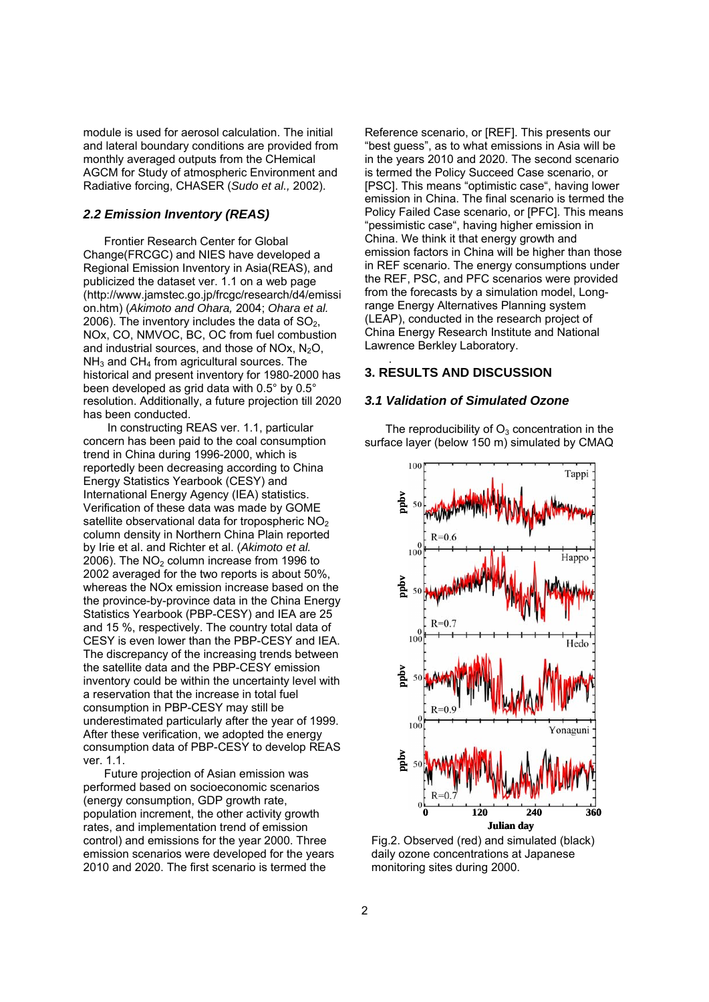module is used for aerosol calculation. The initial and lateral boundary conditions are provided from monthly averaged outputs from the CHemical AGCM for Study of atmospheric Environment and Radiative forcing, CHASER (*Sudo et al.,* 2002).

### *2.2 Emission Inventory (REAS)*

Frontier Research Center for Global Change(FRCGC) and NIES have developed a Regional Emission Inventory in Asia(REAS), and publicized the dataset ver. 1.1 on a web page (http://www.jamstec.go.jp/frcgc/research/d4/emissi on.htm) (*Akimoto and Ohara,* 2004; *Ohara et al.*  2006). The inventory includes the data of  $SO<sub>2</sub>$ , NOx, CO, NMVOC, BC, OC from fuel combustion and industrial sources, and those of NOx,  $N<sub>2</sub>O$ ,  $NH<sub>3</sub>$  and CH<sub>4</sub> from agricultural sources. The historical and present inventory for 1980-2000 has been developed as grid data with 0.5° by 0.5° resolution. Additionally, a future projection till 2020 has been conducted.

 In constructing REAS ver. 1.1, particular concern has been paid to the coal consumption trend in China during 1996-2000, which is reportedly been decreasing according to China Energy Statistics Yearbook (CESY) and International Energy Agency (IEA) statistics. Verification of these data was made by GOME satellite observational data for tropospheric  $NO<sub>2</sub>$ column density in Northern China Plain reported by Irie et al. and Richter et al. (*Akimoto et al.*  2006). The  $NO<sub>2</sub>$  column increase from 1996 to 2002 averaged for the two reports is about 50%, whereas the NOx emission increase based on the the province-by-province data in the China Energy Statistics Yearbook (PBP-CESY) and IEA are 25 and 15 %, respectively. The country total data of CESY is even lower than the PBP-CESY and IEA. The discrepancy of the increasing trends between the satellite data and the PBP-CESY emission inventory could be within the uncertainty level with a reservation that the increase in total fuel consumption in PBP-CESY may still be underestimated particularly after the year of 1999. After these verification, we adopted the energy consumption data of PBP-CESY to develop REAS ver. 1.1.

Future projection of Asian emission was performed based on socioeconomic scenarios (energy consumption, GDP growth rate, population increment, the other activity growth rates, and implementation trend of emission control) and emissions for the year 2000. Three emission scenarios were developed for the years 2010 and 2020. The first scenario is termed the

Reference scenario, or [REF]. This presents our "best guess", as to what emissions in Asia will be in the years 2010 and 2020. The second scenario is termed the Policy Succeed Case scenario, or [PSC]. This means "optimistic case", having lower emission in China. The final scenario is termed the Policy Failed Case scenario, or [PFC]. This means "pessimistic case", having higher emission in China. We think it that energy growth and emission factors in China will be higher than those in REF scenario. The energy consumptions under the REF, PSC, and PFC scenarios were provided from the forecasts by a simulation model, Longrange Energy Alternatives Planning system (LEAP), conducted in the research project of China Energy Research Institute and National Lawrence Berkley Laboratory.

# **3. RESULTS AND DISCUSSION**

.

### *3.1 Validation of Simulated Ozone*

The reproducibility of  $O<sub>3</sub>$  concentration in the surface layer (below 150 m) simulated by CMAQ



Fig.2. Observed (red) and simulated (black) daily ozone concentrations at Japanese monitoring sites during 2000.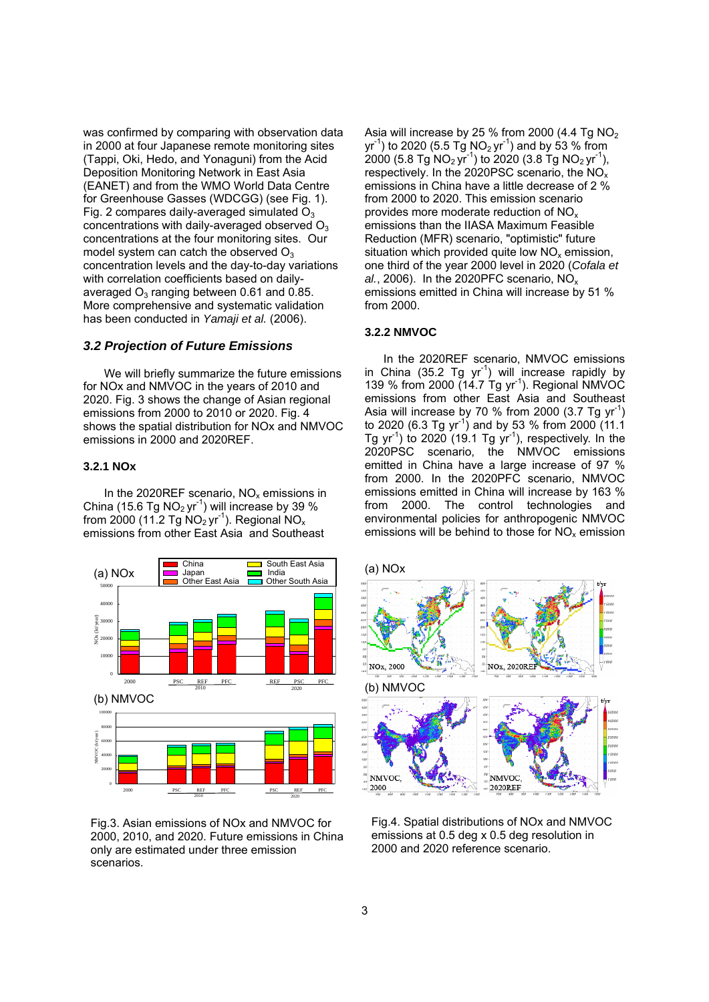was confirmed by comparing with observation data in 2000 at four Japanese remote monitoring sites (Tappi, Oki, Hedo, and Yonaguni) from the Acid Deposition Monitoring Network in East Asia (EANET) and from the WMO World Data Centre for Greenhouse Gasses (WDCGG) (see Fig. 1). Fig. 2 compares daily-averaged simulated  $O_3$ concentrations with daily-averaged observed  $O<sub>3</sub>$ concentrations at the four monitoring sites. Our model system can catch the observed  $O_3$ concentration levels and the day-to-day variations with correlation coefficients based on dailyaveraged  $O_3$  ranging between 0.61 and 0.85. More comprehensive and systematic validation has been conducted in *Yamaji et al.* (2006).

#### *3.2 Projection of Future Emissions*

We will briefly summarize the future emissions for NOx and NMVOC in the years of 2010 and 2020. Fig. 3 shows the change of Asian regional emissions from 2000 to 2010 or 2020. Fig. 4 shows the spatial distribution for NOx and NMVOC emissions in 2000 and 2020REF.

### **3.2.1 NOx**

In the 2020REF scenario,  $NO<sub>x</sub>$  emissions in China (15.6 Tg  $NO<sub>2</sub>$  yr<sup>-1</sup>) will increase by 39 % from 2000 (11.2 Tg  $NO<sub>2</sub>$  yr<sup>-1</sup>). Regional  $NO<sub>x</sub>$ emissions from other East Asia and Southeast



Fig.3. Asian emissions of NOx and NMVOC for 2000, 2010, and 2020. Future emissions in China only are estimated under three emission scenarios.

Asia will increase by 25 % from 2000 (4.4 Tg  $NO<sub>2</sub>$ )  $yr^{-1}$ ) to 2020 (5.5 Tg NO<sub>2</sub> yr<sup>-1</sup>) and by 53 % from 2000 (5.8 Tg NO<sub>2</sub> yr<sup>-1</sup>) to 2020 (3.8 Tg NO<sub>2</sub> yr<sup>-1</sup>), respectively. In the 2020PSC scenario, the NOx emissions in China have a little decrease of 2 % from 2000 to 2020. This emission scenario provides more moderate reduction of NOx emissions than the IIASA Maximum Feasible Reduction (MFR) scenario, "optimistic" future situation which provided quite low  $NO<sub>x</sub>$  emission, one third of the year 2000 level in 2020 (*Cofala et al.*, 2006). In the 2020PFC scenario, NOx emissions emitted in China will increase by 51 % from 2000.

# **3.2.2 NMVOC**

In the 2020REF scenario, NMVOC emissions in China (35.2 Tg  $yr^{-1}$ ) will increase rapidly by 139 % from 2000 (14.7 Tg yr-1). Regional NMVOC emissions from other East Asia and Southeast Asia will increase by 70 % from 2000  $(3.7 \text{ Tg yr}^1)$ to 2020 (6.3 Tg yr<sup>-1</sup>) and by 53 % from 2000 (11.1) Tg yr<sup>-1</sup>) to 2020 (19.1 Tg yr<sup>-1</sup>), respectively. In the 2020PSC scenario, the NMVOC emissions emitted in China have a large increase of 97 % from 2000. In the 2020PFC scenario, NMVOC emissions emitted in China will increase by 163 % from 2000. The control technologies and environmental policies for anthropogenic NMVOC emissions will be behind to those for  $NO<sub>x</sub>$  emission



Fig.4. Spatial distributions of NOx and NMVOC emissions at 0.5 deg x 0.5 deg resolution in 2000 and 2020 reference scenario.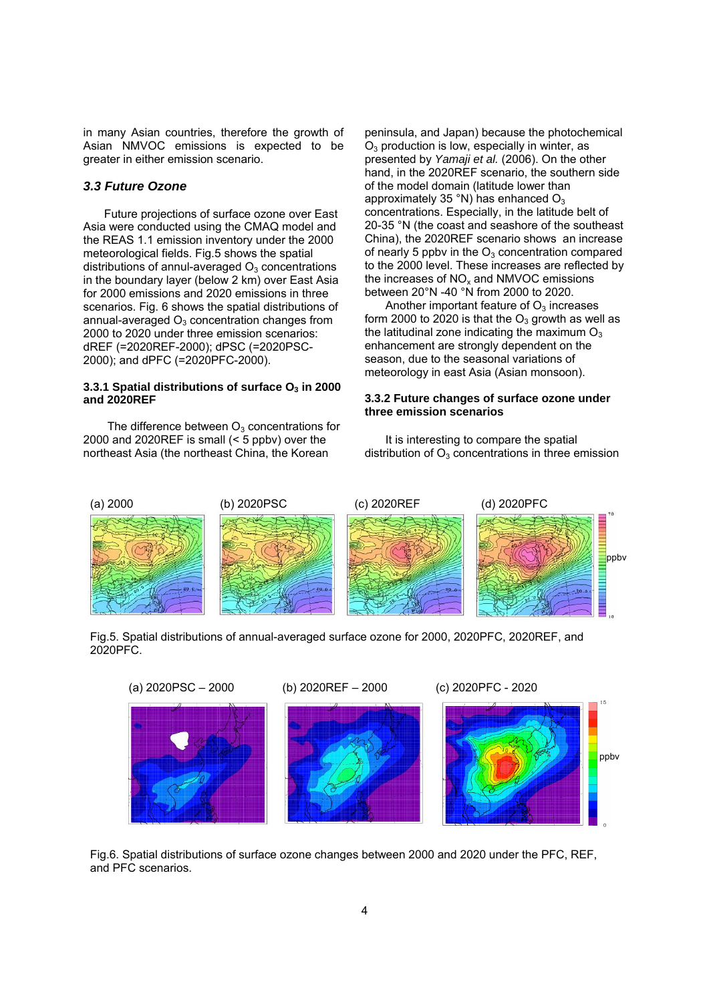in many Asian countries, therefore the growth of Asian NMVOC emissions is expected to be greater in either emission scenario.

#### *3.3 Future Ozone*

Future projections of surface ozone over East Asia were conducted using the CMAQ model and the REAS 1.1 emission inventory under the 2000 meteorological fields. Fig.5 shows the spatial distributions of annul-averaged  $O<sub>3</sub>$  concentrations in the boundary layer (below 2 km) over East Asia for 2000 emissions and 2020 emissions in three scenarios. Fig. 6 shows the spatial distributions of annual-averaged  $O<sub>3</sub>$  concentration changes from 2000 to 2020 under three emission scenarios: dREF (=2020REF-2000); dPSC (=2020PSC-2000); and dPFC (=2020PFC-2000).

### **3.3.1 Spatial distributions of surface O<sub>3</sub> in 2000 and 2020REF**

The difference between  $O_3$  concentrations for 2000 and 2020REF is small (< 5 ppbv) over the northeast Asia (the northeast China, the Korean

peninsula, and Japan) because the photochemical  $O<sub>3</sub>$  production is low, especially in winter, as presented by *Yamaji et al.* (2006). On the other hand, in the 2020REF scenario, the southern side of the model domain (latitude lower than approximately 35 $\degree$ N) has enhanced O<sub>3</sub> concentrations. Especially, in the latitude belt of 20-35 °N (the coast and seashore of the southeast China), the 2020REF scenario shows an increase of nearly 5 ppbv in the  $O_3$  concentration compared to the 2000 level. These increases are reflected by the increases of  $NO<sub>x</sub>$  and NMVOC emissions between 20°N -40 °N from 2000 to 2020.

Another important feature of  $O<sub>3</sub>$  increases form 2000 to 2020 is that the  $O_3$  growth as well as the latitudinal zone indicating the maximum  $O_3$ enhancement are strongly dependent on the season, due to the seasonal variations of meteorology in east Asia (Asian monsoon).

#### **3.3.2 Future changes of surface ozone under three emission scenarios**

It is interesting to compare the spatial distribution of  $O_3$  concentrations in three emission



Fig.5. Spatial distributions of annual-averaged surface ozone for 2000, 2020PFC, 2020REF, and 2020PFC.



Fig.6. Spatial distributions of surface ozone changes between 2000 and 2020 under the PFC, REF, and PFC scenarios.